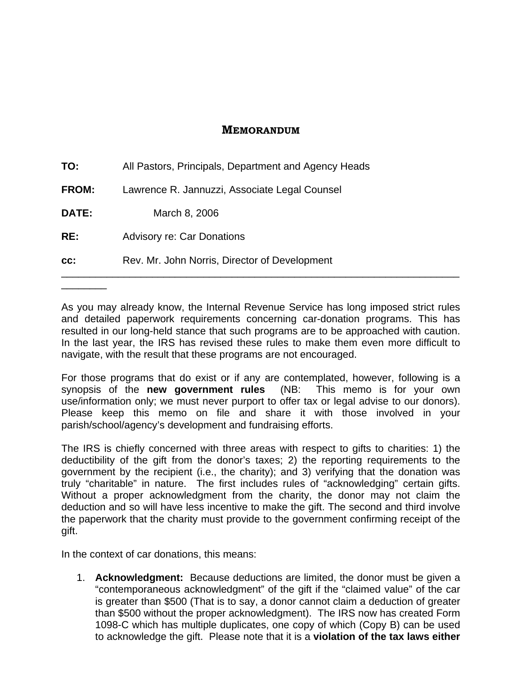## **MEMORANDUM**

| CC:          | Rev. Mr. John Norris, Director of Development        |
|--------------|------------------------------------------------------|
| RE:          | <b>Advisory re: Car Donations</b>                    |
| DATE:        | March 8, 2006                                        |
| <b>FROM:</b> | Lawrence R. Jannuzzi, Associate Legal Counsel        |
| TO:          | All Pastors, Principals, Department and Agency Heads |

As you may already know, the Internal Revenue Service has long imposed strict rules and detailed paperwork requirements concerning car-donation programs. This has resulted in our long-held stance that such programs are to be approached with caution. In the last year, the IRS has revised these rules to make them even more difficult to navigate, with the result that these programs are not encouraged.

For those programs that do exist or if any are contemplated, however, following is a synopsis of the **new government rules** (NB: This memo is for your own use/information only; we must never purport to offer tax or legal advise to our donors). Please keep this memo on file and share it with those involved in your parish/school/agency's development and fundraising efforts.

The IRS is chiefly concerned with three areas with respect to gifts to charities: 1) the deductibility of the gift from the donor's taxes; 2) the reporting requirements to the government by the recipient (i.e., the charity); and 3) verifying that the donation was truly "charitable" in nature. The first includes rules of "acknowledging" certain gifts. Without a proper acknowledgment from the charity, the donor may not claim the deduction and so will have less incentive to make the gift. The second and third involve the paperwork that the charity must provide to the government confirming receipt of the gift.

In the context of car donations, this means:

\_\_\_\_\_\_\_\_

1. **Acknowledgment:** Because deductions are limited, the donor must be given a "contemporaneous acknowledgment" of the gift if the "claimed value" of the car is greater than \$500 (That is to say, a donor cannot claim a deduction of greater than \$500 without the proper acknowledgment). The IRS now has created Form 1098-C which has multiple duplicates, one copy of which (Copy B) can be used to acknowledge the gift. Please note that it is a **violation of the tax laws either**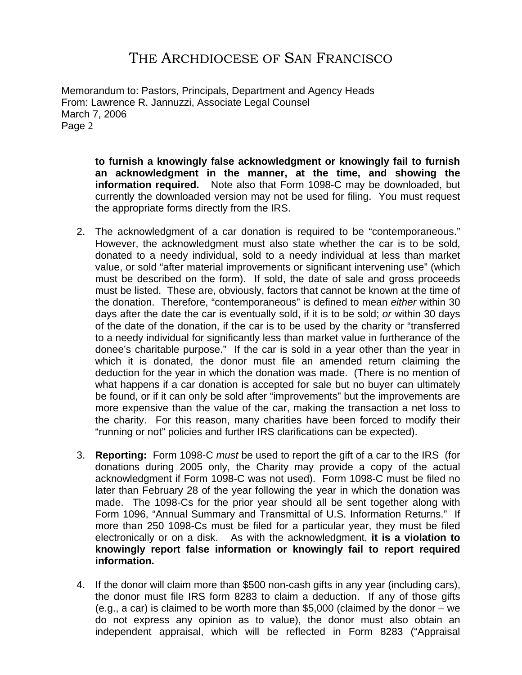## THE ARCHDIOCESE OF SAN FRANCISCO

Memorandum to: Pastors, Principals, Department and Agency Heads From: Lawrence R. Jannuzzi, Associate Legal Counsel March 7, 2006 Page 2

> **to furnish a knowingly false acknowledgment or knowingly fail to furnish an acknowledgment in the manner, at the time, and showing the information required.** Note also that Form 1098-C may be downloaded, but currently the downloaded version may not be used for filing. You must request the appropriate forms directly from the IRS.

- 2. The acknowledgment of a car donation is required to be "contemporaneous." However, the acknowledgment must also state whether the car is to be sold, donated to a needy individual, sold to a needy individual at less than market value, or sold "after material improvements or significant intervening use" (which must be described on the form). If sold, the date of sale and gross proceeds must be listed. These are, obviously, factors that cannot be known at the time of the donation. Therefore, "contemporaneous" is defined to mean *either* within 30 days after the date the car is eventually sold, if it is to be sold; *or* within 30 days of the date of the donation, if the car is to be used by the charity or "transferred to a needy individual for significantly less than market value in furtherance of the donee's charitable purpose." If the car is sold in a year other than the year in which it is donated, the donor must file an amended return claiming the deduction for the year in which the donation was made. (There is no mention of what happens if a car donation is accepted for sale but no buyer can ultimately be found, or if it can only be sold after "improvements" but the improvements are more expensive than the value of the car, making the transaction a net loss to the charity. For this reason, many charities have been forced to modify their "running or not" policies and further IRS clarifications can be expected).
- 3. **Reporting:** Form 1098-C *must* be used to report the gift of a car to the IRS (for donations during 2005 only, the Charity may provide a copy of the actual acknowledgment if Form 1098-C was not used). Form 1098-C must be filed no later than February 28 of the year following the year in which the donation was made. The 1098-Cs for the prior year should all be sent together along with Form 1096, "Annual Summary and Transmittal of U.S. Information Returns." If more than 250 1098-Cs must be filed for a particular year, they must be filed electronically or on a disk. As with the acknowledgment, **it is a violation to knowingly report false information or knowingly fail to report required information.**
- 4. If the donor will claim more than \$500 non-cash gifts in any year (including cars), the donor must file IRS form 8283 to claim a deduction. If any of those gifts (e.g., a car) is claimed to be worth more than \$5,000 (claimed by the donor – we do not express any opinion as to value), the donor must also obtain an independent appraisal, which will be reflected in Form 8283 ("Appraisal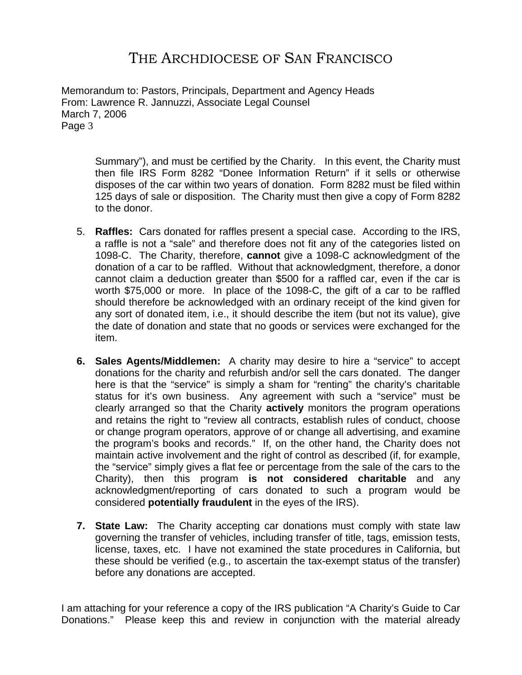## THE ARCHDIOCESE OF SAN FRANCISCO

Memorandum to: Pastors, Principals, Department and Agency Heads From: Lawrence R. Jannuzzi, Associate Legal Counsel March 7, 2006 Page 3

> Summary"), and must be certified by the Charity. In this event, the Charity must then file IRS Form 8282 "Donee Information Return" if it sells or otherwise disposes of the car within two years of donation. Form 8282 must be filed within 125 days of sale or disposition. The Charity must then give a copy of Form 8282 to the donor.

- 5. **Raffles:** Cars donated for raffles present a special case. According to the IRS, a raffle is not a "sale" and therefore does not fit any of the categories listed on 1098-C. The Charity, therefore, **cannot** give a 1098-C acknowledgment of the donation of a car to be raffled. Without that acknowledgment, therefore, a donor cannot claim a deduction greater than \$500 for a raffled car, even if the car is worth \$75,000 or more. In place of the 1098-C, the gift of a car to be raffled should therefore be acknowledged with an ordinary receipt of the kind given for any sort of donated item, i.e., it should describe the item (but not its value), give the date of donation and state that no goods or services were exchanged for the item.
- **6. Sales Agents/Middlemen:** A charity may desire to hire a "service" to accept donations for the charity and refurbish and/or sell the cars donated. The danger here is that the "service" is simply a sham for "renting" the charity's charitable status for it's own business. Any agreement with such a "service" must be clearly arranged so that the Charity **actively** monitors the program operations and retains the right to "review all contracts, establish rules of conduct, choose or change program operators, approve of or change all advertising, and examine the program's books and records." If, on the other hand, the Charity does not maintain active involvement and the right of control as described (if, for example, the "service" simply gives a flat fee or percentage from the sale of the cars to the Charity), then this program **is not considered charitable** and any acknowledgment/reporting of cars donated to such a program would be considered **potentially fraudulent** in the eyes of the IRS).
- **7. State Law:** The Charity accepting car donations must comply with state law governing the transfer of vehicles, including transfer of title, tags, emission tests, license, taxes, etc. I have not examined the state procedures in California, but these should be verified (e.g., to ascertain the tax-exempt status of the transfer) before any donations are accepted.

I am attaching for your reference a copy of the IRS publication "A Charity's Guide to Car Donations." Please keep this and review in conjunction with the material already